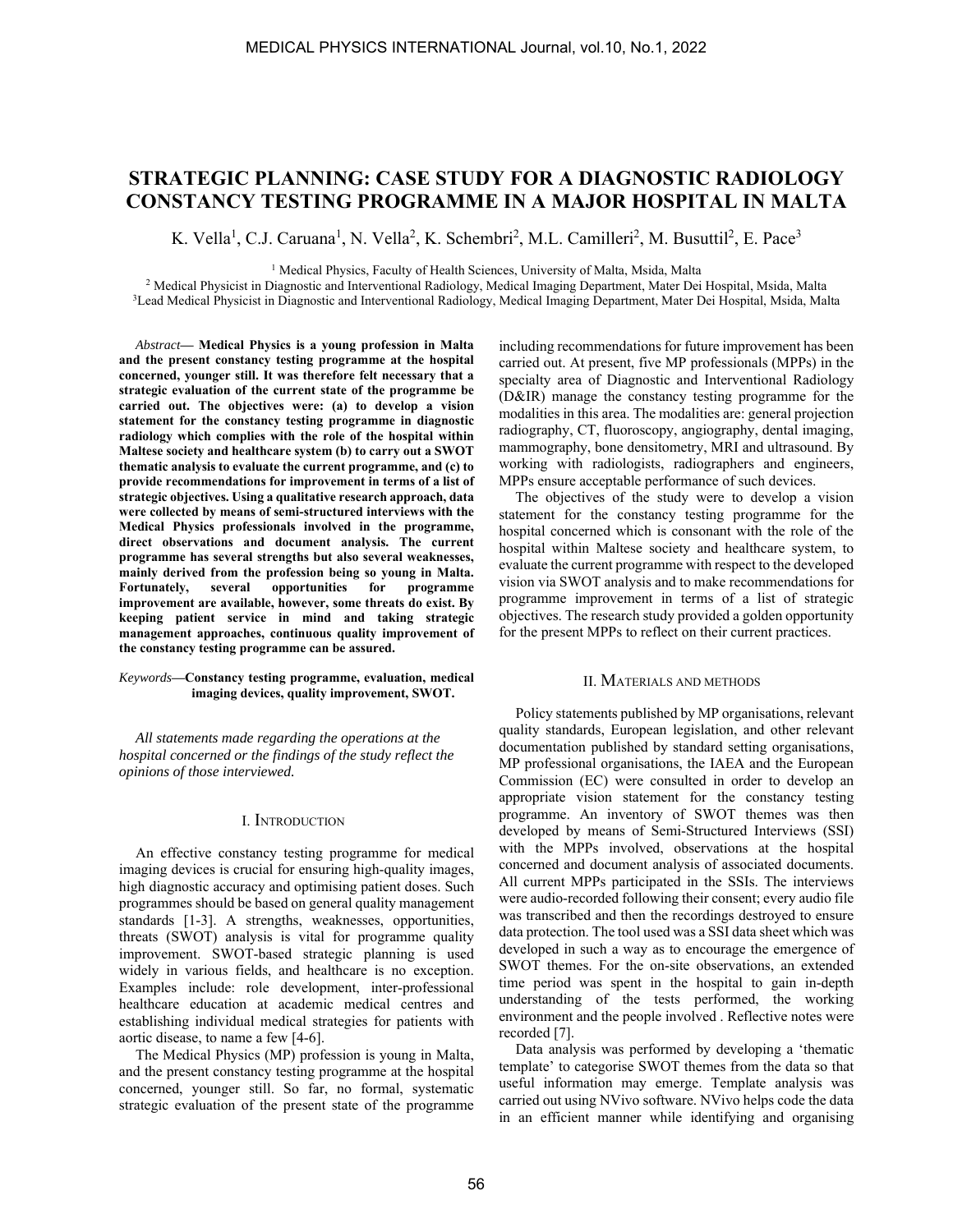# **STRATEGIC PLANNING: CASE STUDY FOR A DIAGNOSTIC RADIOLOGY CONSTANCY TESTING PROGRAMME IN A MAJOR HOSPITAL IN MALTA**

K. Vella<sup>1</sup>, C.J. Caruana<sup>1</sup>, N. Vella<sup>2</sup>, K. Schembri<sup>2</sup>, M.L. Camilleri<sup>2</sup>, M. Busuttil<sup>2</sup>, E. Pace<sup>3</sup>

<sup>1</sup> Medical Physics, Faculty of Health Sciences, University of Malta, Msida, Malta<br><sup>2</sup> Medical Physicist in Diagnostic and Interventional Radiology, Medical Imaging Department, Mater Dei

<sup>2</sup> Medical Physicist in Diagnostic and Interventional Radiology, Medical Imaging Department, Mater Dei Hospital, Msida, Malta <sup>3</sup>Lead Medical Physicist in Diagnostic and Interventional Radiology, Medical Imaging Department, Mater Dei Hospital, Msida, Malta

*Abstract***— Medical Physics is a young profession in Malta and the present constancy testing programme at the hospital concerned, younger still. It was therefore felt necessary that a strategic evaluation of the current state of the programme be carried out. The objectives were: (a) to develop a vision statement for the constancy testing programme in diagnostic radiology which complies with the role of the hospital within Maltese society and healthcare system (b) to carry out a SWOT thematic analysis to evaluate the current programme, and (c) to provide recommendations for improvement in terms of a list of strategic objectives. Using a qualitative research approach, data were collected by means of semi-structured interviews with the Medical Physics professionals involved in the programme, direct observations and document analysis. The current programme has several strengths but also several weaknesses, mainly derived from the profession being so young in Malta. Fortunately, several opportunities for programme improvement are available, however, some threats do exist. By keeping patient service in mind and taking strategic management approaches, continuous quality improvement of the constancy testing programme can be assured.** 

#### *Keywords***—Constancy testing programme, evaluation, medical imaging devices, quality improvement, SWOT.**

*All statements made regarding the operations at the hospital concerned or the findings of the study reflect the opinions of those interviewed.* 

### I. INTRODUCTION

An effective constancy testing programme for medical imaging devices is crucial for ensuring high-quality images, high diagnostic accuracy and optimising patient doses. Such programmes should be based on general quality management standards [1-3]. A strengths, weaknesses, opportunities, threats (SWOT) analysis is vital for programme quality improvement. SWOT-based strategic planning is used widely in various fields, and healthcare is no exception. Examples include: role development, inter-professional healthcare education at academic medical centres and establishing individual medical strategies for patients with aortic disease, to name a few [4-6].

The Medical Physics (MP) profession is young in Malta, and the present constancy testing programme at the hospital concerned, younger still. So far, no formal, systematic strategic evaluation of the present state of the programme

including recommendations for future improvement has been carried out. At present, five MP professionals (MPPs) in the specialty area of Diagnostic and Interventional Radiology (D&IR) manage the constancy testing programme for the modalities in this area. The modalities are: general projection radiography, CT, fluoroscopy, angiography, dental imaging, mammography, bone densitometry, MRI and ultrasound. By working with radiologists, radiographers and engineers, MPPs ensure acceptable performance of such devices.

The objectives of the study were to develop a vision statement for the constancy testing programme for the hospital concerned which is consonant with the role of the hospital within Maltese society and healthcare system, to evaluate the current programme with respect to the developed vision via SWOT analysis and to make recommendations for programme improvement in terms of a list of strategic objectives. The research study provided a golden opportunity for the present MPPs to reflect on their current practices.

#### II. MATERIALS AND METHODS

Policy statements published by MP organisations, relevant quality standards, European legislation, and other relevant documentation published by standard setting organisations, MP professional organisations, the IAEA and the European Commission (EC) were consulted in order to develop an appropriate vision statement for the constancy testing programme. An inventory of SWOT themes was then developed by means of Semi-Structured Interviews (SSI) with the MPPs involved, observations at the hospital concerned and document analysis of associated documents. All current MPPs participated in the SSIs. The interviews were audio-recorded following their consent; every audio file was transcribed and then the recordings destroyed to ensure data protection. The tool used was a SSI data sheet which was developed in such a way as to encourage the emergence of SWOT themes. For the on-site observations, an extended time period was spent in the hospital to gain in-depth understanding of the tests performed, the working environment and the people involved . Reflective notes were recorded [7].

Data analysis was performed by developing a 'thematic template' to categorise SWOT themes from the data so that useful information may emerge. Template analysis was carried out using NVivo software. NVivo helps code the data in an efficient manner while identifying and organising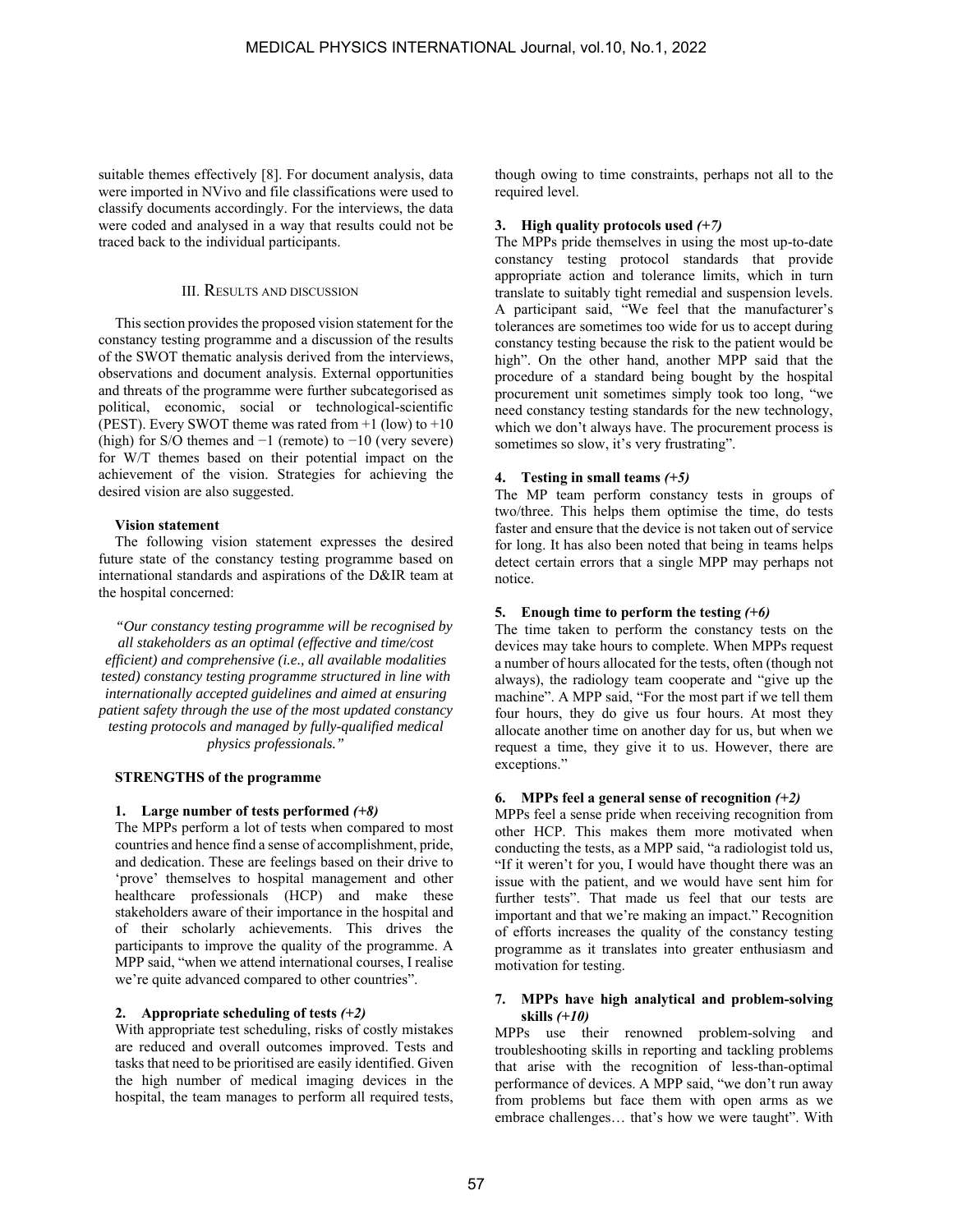suitable themes effectively [8]. For document analysis, data were imported in NVivo and file classifications were used to classify documents accordingly. For the interviews, the data were coded and analysed in a way that results could not be traced back to the individual participants.

#### III. RESULTS AND DISCUSSION

This section provides the proposed vision statement for the constancy testing programme and a discussion of the results of the SWOT thematic analysis derived from the interviews, observations and document analysis. External opportunities and threats of the programme were further subcategorised as political, economic, social or technological-scientific (PEST). Every SWOT theme was rated from  $+1$  (low) to  $+10$ (high) for S/O themes and  $-1$  (remote) to  $-10$  (very severe) for W/T themes based on their potential impact on the achievement of the vision. Strategies for achieving the desired vision are also suggested.

#### **Vision statement**

The following vision statement expresses the desired future state of the constancy testing programme based on international standards and aspirations of the D&IR team at the hospital concerned:

*"Our constancy testing programme will be recognised by all stakeholders as an optimal (effective and time/cost efficient) and comprehensive (i.e., all available modalities tested) constancy testing programme structured in line with internationally accepted guidelines and aimed at ensuring patient safety through the use of the most updated constancy testing protocols and managed by fully-qualified medical physics professionals."* 

### **STRENGTHS of the programme**

#### **1. Large number of tests performed** *(+8)*

The MPPs perform a lot of tests when compared to most countries and hence find a sense of accomplishment, pride, and dedication. These are feelings based on their drive to 'prove' themselves to hospital management and other healthcare professionals (HCP) and make these stakeholders aware of their importance in the hospital and of their scholarly achievements. This drives the participants to improve the quality of the programme. A MPP said, "when we attend international courses, I realise we're quite advanced compared to other countries".

### **2. Appropriate scheduling of tests** *(+2)*

With appropriate test scheduling, risks of costly mistakes are reduced and overall outcomes improved. Tests and tasks that need to be prioritised are easily identified. Given the high number of medical imaging devices in the hospital, the team manages to perform all required tests, though owing to time constraints, perhaps not all to the required level.

### **3. High quality protocols used** *(+7)*

The MPPs pride themselves in using the most up-to-date constancy testing protocol standards that provide appropriate action and tolerance limits, which in turn translate to suitably tight remedial and suspension levels. A participant said, "We feel that the manufacturer's tolerances are sometimes too wide for us to accept during constancy testing because the risk to the patient would be high". On the other hand, another MPP said that the procedure of a standard being bought by the hospital procurement unit sometimes simply took too long, "we need constancy testing standards for the new technology, which we don't always have. The procurement process is sometimes so slow, it's very frustrating".

# **4. Testing in small teams** *(+5)*

The MP team perform constancy tests in groups of two/three. This helps them optimise the time, do tests faster and ensure that the device is not taken out of service for long. It has also been noted that being in teams helps detect certain errors that a single MPP may perhaps not notice.

### **5. Enough time to perform the testing** *(+6)*

The time taken to perform the constancy tests on the devices may take hours to complete. When MPPs request a number of hours allocated for the tests, often (though not always), the radiology team cooperate and "give up the machine". A MPP said, "For the most part if we tell them four hours, they do give us four hours. At most they allocate another time on another day for us, but when we request a time, they give it to us. However, there are exceptions."

### **6. MPPs feel a general sense of recognition** *(+2)*

MPPs feel a sense pride when receiving recognition from other HCP. This makes them more motivated when conducting the tests, as a MPP said, "a radiologist told us, "If it weren't for you, I would have thought there was an issue with the patient, and we would have sent him for further tests". That made us feel that our tests are important and that we're making an impact." Recognition of efforts increases the quality of the constancy testing programme as it translates into greater enthusiasm and motivation for testing.

### **7. MPPs have high analytical and problem-solving skills** *(+10)*

MPPs use their renowned problem-solving and troubleshooting skills in reporting and tackling problems that arise with the recognition of less-than-optimal performance of devices. A MPP said, "we don't run away from problems but face them with open arms as we embrace challenges… that's how we were taught". With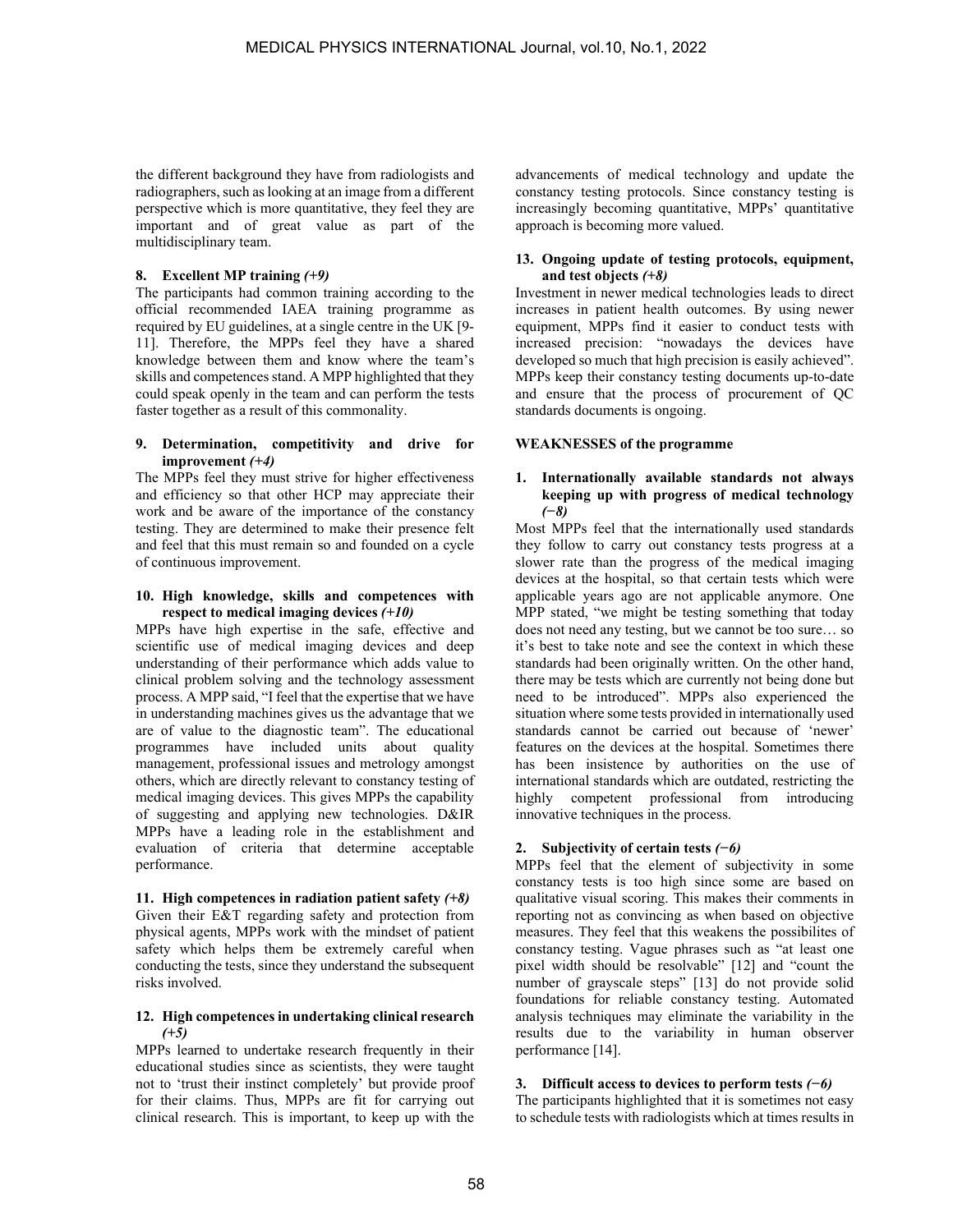the different background they have from radiologists and radiographers, such as looking at an image from a different perspective which is more quantitative, they feel they are important and of great value as part of the multidisciplinary team.

### **8. Excellent MP training** *(+9)*

The participants had common training according to the official recommended IAEA training programme as required by EU guidelines, at a single centre in the UK [9- 11]. Therefore, the MPPs feel they have a shared knowledge between them and know where the team's skills and competences stand. A MPP highlighted that they could speak openly in the team and can perform the tests faster together as a result of this commonality.

# **9. Determination, competitivity and drive for improvement** *(+4)*

The MPPs feel they must strive for higher effectiveness and efficiency so that other HCP may appreciate their work and be aware of the importance of the constancy testing. They are determined to make their presence felt and feel that this must remain so and founded on a cycle of continuous improvement.

#### **10. High knowledge, skills and competences with respect to medical imaging devices** *(+10)*

MPPs have high expertise in the safe, effective and scientific use of medical imaging devices and deep understanding of their performance which adds value to clinical problem solving and the technology assessment process. A MPP said, "I feel that the expertise that we have in understanding machines gives us the advantage that we are of value to the diagnostic team". The educational programmes have included units about quality management, professional issues and metrology amongst others, which are directly relevant to constancy testing of medical imaging devices. This gives MPPs the capability of suggesting and applying new technologies. D&IR MPPs have a leading role in the establishment and evaluation of criteria that determine acceptable performance.

**11. High competences in radiation patient safety** *(+8)* Given their E&T regarding safety and protection from physical agents, MPPs work with the mindset of patient safety which helps them be extremely careful when conducting the tests, since they understand the subsequent risks involved.

# **12. High competences in undertaking clinical research**  *(+5)*

MPPs learned to undertake research frequently in their educational studies since as scientists, they were taught not to 'trust their instinct completely' but provide proof for their claims. Thus, MPPs are fit for carrying out clinical research. This is important, to keep up with the advancements of medical technology and update the constancy testing protocols. Since constancy testing is increasingly becoming quantitative, MPPs' quantitative approach is becoming more valued.

### **13. Ongoing update of testing protocols, equipment, and test objects** *(+8)*

Investment in newer medical technologies leads to direct increases in patient health outcomes. By using newer equipment, MPPs find it easier to conduct tests with increased precision: "nowadays the devices have developed so much that high precision is easily achieved". MPPs keep their constancy testing documents up-to-date and ensure that the process of procurement of QC standards documents is ongoing.

### **WEAKNESSES of the programme**

### **1. Internationally available standards not always keeping up with progress of medical technology**  *(−8)*

Most MPPs feel that the internationally used standards they follow to carry out constancy tests progress at a slower rate than the progress of the medical imaging devices at the hospital, so that certain tests which were applicable years ago are not applicable anymore. One MPP stated, "we might be testing something that today does not need any testing, but we cannot be too sure… so it's best to take note and see the context in which these standards had been originally written. On the other hand, there may be tests which are currently not being done but need to be introduced". MPPs also experienced the situation where some tests provided in internationally used standards cannot be carried out because of 'newer' features on the devices at the hospital. Sometimes there has been insistence by authorities on the use of international standards which are outdated, restricting the highly competent professional from introducing innovative techniques in the process.

# **2. Subjectivity of certain tests** *(−6)*

MPPs feel that the element of subjectivity in some constancy tests is too high since some are based on qualitative visual scoring. This makes their comments in reporting not as convincing as when based on objective measures. They feel that this weakens the possibilites of constancy testing. Vague phrases such as "at least one pixel width should be resolvable" [12] and "count the number of grayscale steps" [13] do not provide solid foundations for reliable constancy testing. Automated analysis techniques may eliminate the variability in the results due to the variability in human observer performance [14].

### **3. Difficult access to devices to perform tests** *(−6)*

The participants highlighted that it is sometimes not easy to schedule tests with radiologists which at times results in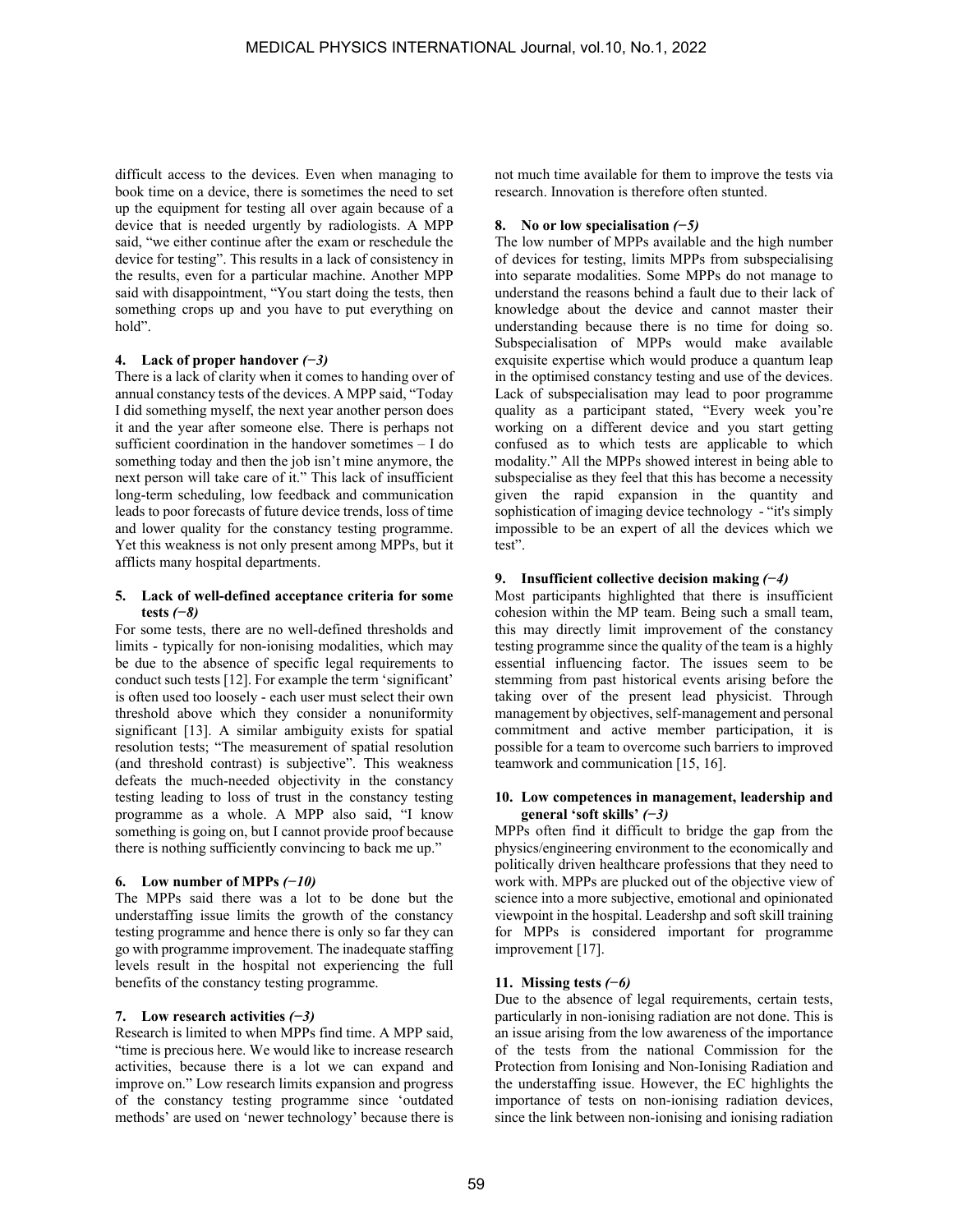difficult access to the devices. Even when managing to book time on a device, there is sometimes the need to set up the equipment for testing all over again because of a device that is needed urgently by radiologists. A MPP said, "we either continue after the exam or reschedule the device for testing". This results in a lack of consistency in the results, even for a particular machine. Another MPP said with disappointment, "You start doing the tests, then something crops up and you have to put everything on hold".

# **4. Lack of proper handover** *(−3)*

There is a lack of clarity when it comes to handing over of annual constancy tests of the devices. A MPP said, "Today I did something myself, the next year another person does it and the year after someone else. There is perhaps not sufficient coordination in the handover sometimes – I do something today and then the job isn't mine anymore, the next person will take care of it." This lack of insufficient long-term scheduling, low feedback and communication leads to poor forecasts of future device trends, loss of time and lower quality for the constancy testing programme. Yet this weakness is not only present among MPPs, but it afflicts many hospital departments.

### **5. Lack of well-defined acceptance criteria for some tests** *(−8)*

For some tests, there are no well-defined thresholds and limits - typically for non-ionising modalities, which may be due to the absence of specific legal requirements to conduct such tests [12]. For example the term 'significant' is often used too loosely - each user must select their own threshold above which they consider a nonuniformity significant [13]. A similar ambiguity exists for spatial resolution tests; "The measurement of spatial resolution (and threshold contrast) is subjective". This weakness defeats the much-needed objectivity in the constancy testing leading to loss of trust in the constancy testing programme as a whole. A MPP also said, "I know something is going on, but I cannot provide proof because there is nothing sufficiently convincing to back me up."

### **6. Low number of MPPs** *(−10)*

The MPPs said there was a lot to be done but the understaffing issue limits the growth of the constancy testing programme and hence there is only so far they can go with programme improvement. The inadequate staffing levels result in the hospital not experiencing the full benefits of the constancy testing programme.

### **7. Low research activities** *(−3)*

Research is limited to when MPPs find time. A MPP said, "time is precious here. We would like to increase research activities, because there is a lot we can expand and improve on." Low research limits expansion and progress of the constancy testing programme since 'outdated methods' are used on 'newer technology' because there is not much time available for them to improve the tests via research. Innovation is therefore often stunted.

# **8. No or low specialisation** *(−5)*

The low number of MPPs available and the high number of devices for testing, limits MPPs from subspecialising into separate modalities. Some MPPs do not manage to understand the reasons behind a fault due to their lack of knowledge about the device and cannot master their understanding because there is no time for doing so. Subspecialisation of MPPs would make available exquisite expertise which would produce a quantum leap in the optimised constancy testing and use of the devices. Lack of subspecialisation may lead to poor programme quality as a participant stated, "Every week you're working on a different device and you start getting confused as to which tests are applicable to which modality." All the MPPs showed interest in being able to subspecialise as they feel that this has become a necessity given the rapid expansion in the quantity and sophistication of imaging device technology - "it's simply impossible to be an expert of all the devices which we test".

# **9. Insufficient collective decision making** *(−4)*

Most participants highlighted that there is insufficient cohesion within the MP team. Being such a small team, this may directly limit improvement of the constancy testing programme since the quality of the team is a highly essential influencing factor. The issues seem to be stemming from past historical events arising before the taking over of the present lead physicist. Through management by objectives, self-management and personal commitment and active member participation, it is possible for a team to overcome such barriers to improved teamwork and communication [15, 16].

#### **10. Low competences in management, leadership and general 'soft skills'** *(−3)*

MPPs often find it difficult to bridge the gap from the physics/engineering environment to the economically and politically driven healthcare professions that they need to work with. MPPs are plucked out of the objective view of science into a more subjective, emotional and opinionated viewpoint in the hospital. Leadershp and soft skill training for MPPs is considered important for programme improvement [17].

### **11. Missing tests** *(−6)*

Due to the absence of legal requirements, certain tests, particularly in non-ionising radiation are not done. This is an issue arising from the low awareness of the importance of the tests from the national Commission for the Protection from Ionising and Non-Ionising Radiation and the understaffing issue. However, the EC highlights the importance of tests on non-ionising radiation devices, since the link between non-ionising and ionising radiation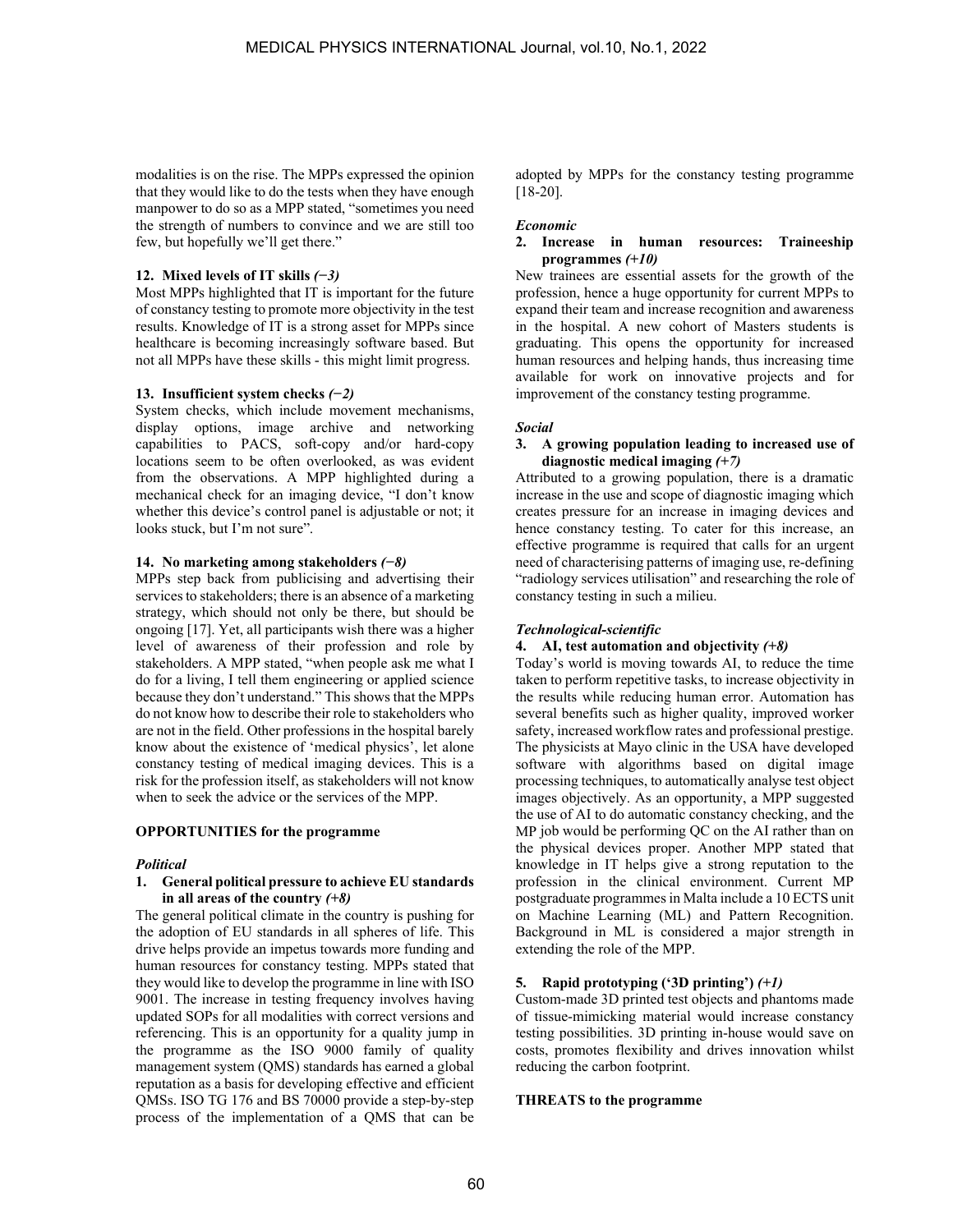modalities is on the rise. The MPPs expressed the opinion that they would like to do the tests when they have enough manpower to do so as a MPP stated, "sometimes you need the strength of numbers to convince and we are still too few, but hopefully we'll get there."

### **12. Mixed levels of IT skills** *(−3)*

Most MPPs highlighted that IT is important for the future of constancy testing to promote more objectivity in the test results. Knowledge of IT is a strong asset for MPPs since healthcare is becoming increasingly software based. But not all MPPs have these skills - this might limit progress.

### **13. Insufficient system checks** *(−2)*

System checks, which include movement mechanisms, display options, image archive and networking capabilities to PACS, soft-copy and/or hard-copy locations seem to be often overlooked, as was evident from the observations. A MPP highlighted during a mechanical check for an imaging device, "I don't know whether this device's control panel is adjustable or not; it looks stuck, but I'm not sure".

# **14. No marketing among stakeholders** *(−8)*

MPPs step back from publicising and advertising their services to stakeholders; there is an absence of a marketing strategy, which should not only be there, but should be ongoing [17]. Yet, all participants wish there was a higher level of awareness of their profession and role by stakeholders. A MPP stated, "when people ask me what I do for a living, I tell them engineering or applied science because they don't understand." This shows that the MPPs do not know how to describe their role to stakeholders who are not in the field. Other professions in the hospital barely know about the existence of 'medical physics', let alone constancy testing of medical imaging devices. This is a risk for the profession itself, as stakeholders will not know when to seek the advice or the services of the MPP.

### **OPPORTUNITIES for the programme**

### *Political*

#### **1. General political pressure to achieve EU standards in all areas of the country** *(+8)*

The general political climate in the country is pushing for the adoption of EU standards in all spheres of life. This drive helps provide an impetus towards more funding and human resources for constancy testing. MPPs stated that they would like to develop the programme in line with ISO 9001. The increase in testing frequency involves having updated SOPs for all modalities with correct versions and referencing. This is an opportunity for a quality jump in the programme as the ISO 9000 family of quality management system (QMS) standards has earned a global reputation as a basis for developing effective and efficient QMSs. ISO TG 176 and BS 70000 provide a step-by-step process of the implementation of a QMS that can be adopted by MPPs for the constancy testing programme [18-20].

### *Economic*

### **2. Increase in human resources: Traineeship programmes** *(+10)*

New trainees are essential assets for the growth of the profession, hence a huge opportunity for current MPPs to expand their team and increase recognition and awareness in the hospital. A new cohort of Masters students is graduating. This opens the opportunity for increased human resources and helping hands, thus increasing time available for work on innovative projects and for improvement of the constancy testing programme.

# *Social*

### **3. A growing population leading to increased use of diagnostic medical imaging** *(+7)*

Attributed to a growing population, there is a dramatic increase in the use and scope of diagnostic imaging which creates pressure for an increase in imaging devices and hence constancy testing. To cater for this increase, an effective programme is required that calls for an urgent need of characterising patterns of imaging use, re-defining "radiology services utilisation" and researching the role of constancy testing in such a milieu.

# *Technological-scientific*

### **4. AI, test automation and objectivity** *(+8)*

Today's world is moving towards AI, to reduce the time taken to perform repetitive tasks, to increase objectivity in the results while reducing human error. Automation has several benefits such as higher quality, improved worker safety, increased workflow rates and professional prestige. The physicists at Mayo clinic in the USA have developed software with algorithms based on digital image processing techniques, to automatically analyse test object images objectively. As an opportunity, a MPP suggested the use of AI to do automatic constancy checking, and the MP job would be performing QC on the AI rather than on the physical devices proper. Another MPP stated that knowledge in IT helps give a strong reputation to the profession in the clinical environment. Current MP postgraduate programmes in Malta include a 10 ECTS unit on Machine Learning (ML) and Pattern Recognition. Background in ML is considered a major strength in extending the role of the MPP.

### **5. Rapid prototyping ('3D printing')** *(+1)*

Custom-made 3D printed test objects and phantoms made of tissue-mimicking material would increase constancy testing possibilities. 3D printing in-house would save on costs, promotes flexibility and drives innovation whilst reducing the carbon footprint.

### **THREATS to the programme**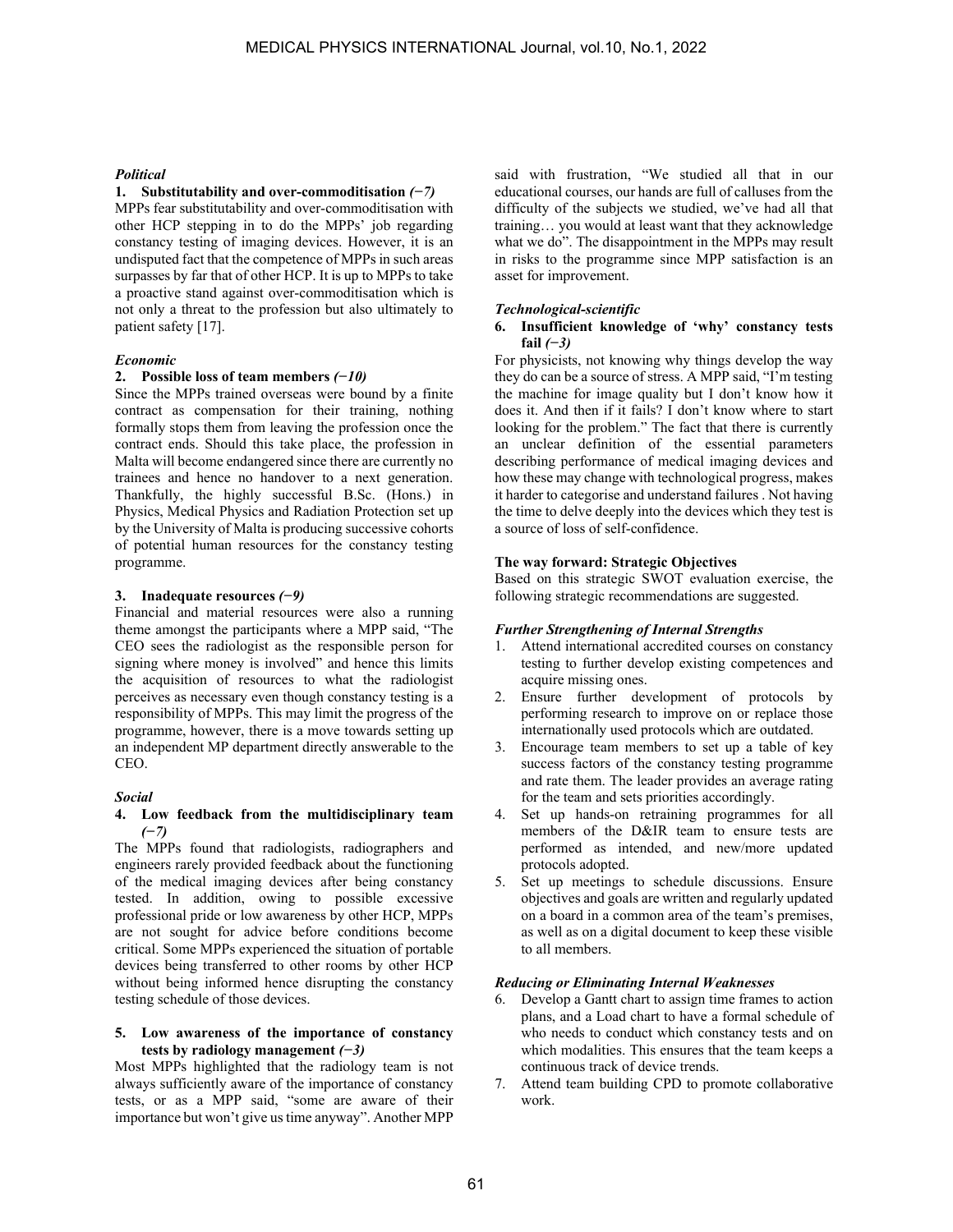#### *Political*

### **1. Substitutability and over-commoditisation** *(−7)*

MPPs fear substitutability and over-commoditisation with other HCP stepping in to do the MPPs' job regarding constancy testing of imaging devices. However, it is an undisputed fact that the competence of MPPs in such areas surpasses by far that of other HCP. It is up to MPPs to take a proactive stand against over-commoditisation which is not only a threat to the profession but also ultimately to patient safety [17].

#### *Economic*

### **2. Possible loss of team members** *(−10)*

Since the MPPs trained overseas were bound by a finite contract as compensation for their training, nothing formally stops them from leaving the profession once the contract ends. Should this take place, the profession in Malta will become endangered since there are currently no trainees and hence no handover to a next generation. Thankfully, the highly successful B.Sc. (Hons.) in Physics, Medical Physics and Radiation Protection set up by the University of Malta is producing successive cohorts of potential human resources for the constancy testing programme.

#### **3. Inadequate resources** *(−9)*

Financial and material resources were also a running theme amongst the participants where a MPP said, "The CEO sees the radiologist as the responsible person for signing where money is involved" and hence this limits the acquisition of resources to what the radiologist perceives as necessary even though constancy testing is a responsibility of MPPs. This may limit the progress of the programme, however, there is a move towards setting up an independent MP department directly answerable to the CEO.

#### *Social*

#### **4. Low feedback from the multidisciplinary team**  *(−7)*

The MPPs found that radiologists, radiographers and engineers rarely provided feedback about the functioning of the medical imaging devices after being constancy tested. In addition, owing to possible excessive professional pride or low awareness by other HCP, MPPs are not sought for advice before conditions become critical. Some MPPs experienced the situation of portable devices being transferred to other rooms by other HCP without being informed hence disrupting the constancy testing schedule of those devices.

#### **5. Low awareness of the importance of constancy tests by radiology management** *(−3)*

Most MPPs highlighted that the radiology team is not always sufficiently aware of the importance of constancy tests, or as a MPP said, "some are aware of their importance but won't give us time anyway". Another MPP

said with frustration, "We studied all that in our educational courses, our hands are full of calluses from the difficulty of the subjects we studied, we've had all that training… you would at least want that they acknowledge what we do". The disappointment in the MPPs may result in risks to the programme since MPP satisfaction is an asset for improvement.

#### *Technological-scientific*

#### **6. Insufficient knowledge of 'why' constancy tests fail** *(−3)*

For physicists, not knowing why things develop the way they do can be a source of stress. A MPP said, "I'm testing the machine for image quality but I don't know how it does it. And then if it fails? I don't know where to start looking for the problem." The fact that there is currently an unclear definition of the essential parameters describing performance of medical imaging devices and how these may change with technological progress, makes it harder to categorise and understand failures . Not having the time to delve deeply into the devices which they test is a source of loss of self-confidence.

#### **The way forward: Strategic Objectives**

Based on this strategic SWOT evaluation exercise, the following strategic recommendations are suggested.

### *Further Strengthening of Internal Strengths*

- 1. Attend international accredited courses on constancy testing to further develop existing competences and acquire missing ones.
- 2. Ensure further development of protocols by performing research to improve on or replace those internationally used protocols which are outdated.
- 3. Encourage team members to set up a table of key success factors of the constancy testing programme and rate them. The leader provides an average rating for the team and sets priorities accordingly.
- 4. Set up hands-on retraining programmes for all members of the D&IR team to ensure tests are performed as intended, and new/more updated protocols adopted.
- 5. Set up meetings to schedule discussions. Ensure objectives and goals are written and regularly updated on a board in a common area of the team's premises, as well as on a digital document to keep these visible to all members.

#### *Reducing or Eliminating Internal Weaknesses*

- 6. Develop a Gantt chart to assign time frames to action plans, and a Load chart to have a formal schedule of who needs to conduct which constancy tests and on which modalities. This ensures that the team keeps a continuous track of device trends.
- 7. Attend team building CPD to promote collaborative work.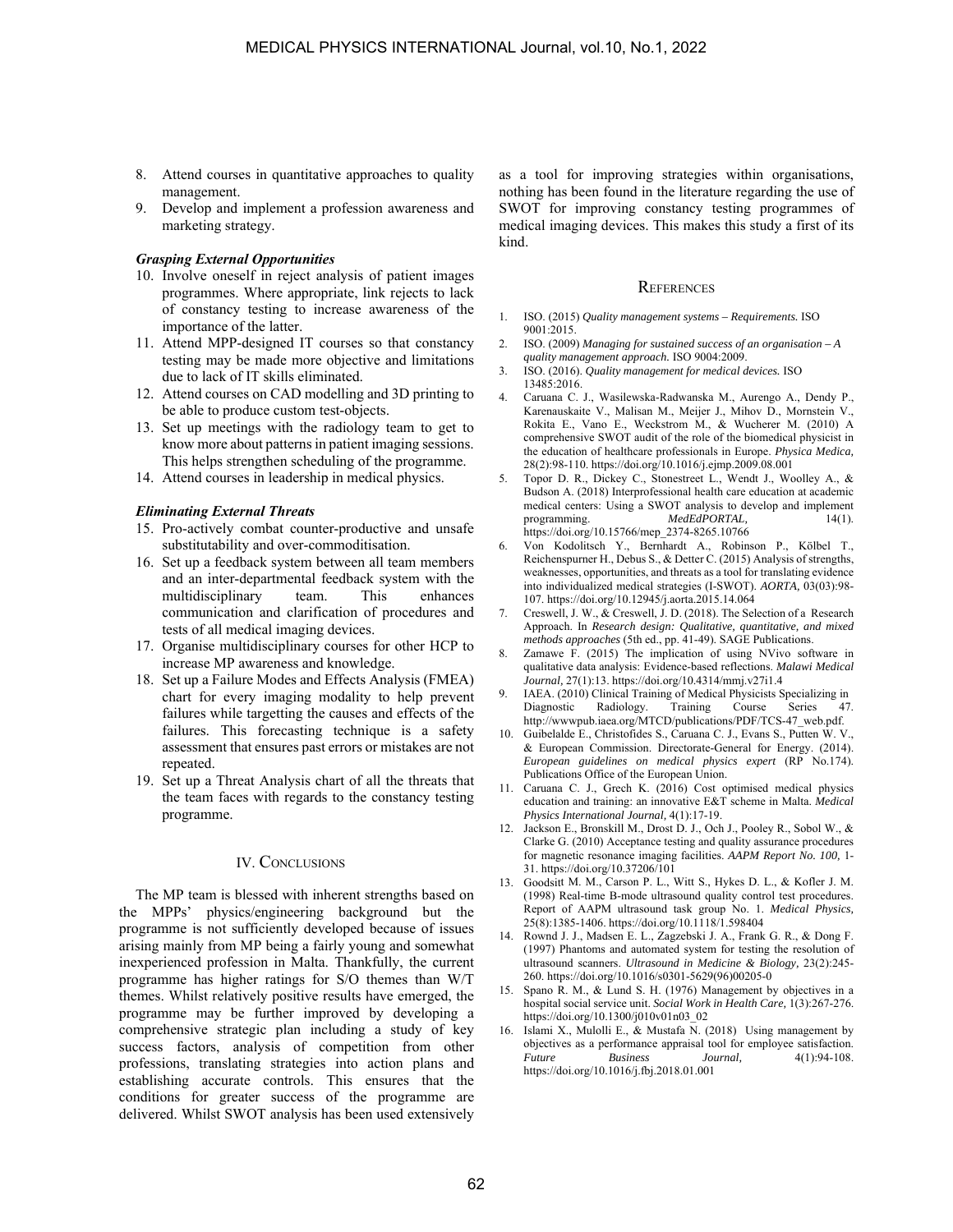- 8. Attend courses in quantitative approaches to quality management.
- 9. Develop and implement a profession awareness and marketing strategy.

#### *Grasping External Opportunities*

- 10. Involve oneself in reject analysis of patient images programmes. Where appropriate, link rejects to lack of constancy testing to increase awareness of the importance of the latter.
- 11. Attend MPP-designed IT courses so that constancy testing may be made more objective and limitations due to lack of IT skills eliminated.
- 12. Attend courses on CAD modelling and 3D printing to be able to produce custom test-objects.
- 13. Set up meetings with the radiology team to get to know more about patterns in patient imaging sessions. This helps strengthen scheduling of the programme.
- 14. Attend courses in leadership in medical physics.

#### *Eliminating External Threats*

- 15. Pro-actively combat counter-productive and unsafe substitutability and over-commoditisation.
- 16. Set up a feedback system between all team members and an inter-departmental feedback system with the multidisciplinary team. This enhances communication and clarification of procedures and tests of all medical imaging devices.
- 17. Organise multidisciplinary courses for other HCP to increase MP awareness and knowledge.
- 18. Set up a Failure Modes and Effects Analysis (FMEA) chart for every imaging modality to help prevent failures while targetting the causes and effects of the failures. This forecasting technique is a safety assessment that ensures past errors or mistakes are not repeated.
- 19. Set up a Threat Analysis chart of all the threats that the team faces with regards to the constancy testing programme.

### IV. CONCLUSIONS

The MP team is blessed with inherent strengths based on the MPPs' physics/engineering background but the programme is not sufficiently developed because of issues arising mainly from MP being a fairly young and somewhat inexperienced profession in Malta. Thankfully, the current programme has higher ratings for S/O themes than W/T themes. Whilst relatively positive results have emerged, the programme may be further improved by developing a comprehensive strategic plan including a study of key success factors, analysis of competition from other professions, translating strategies into action plans and establishing accurate controls. This ensures that the conditions for greater success of the programme are delivered. Whilst SWOT analysis has been used extensively as a tool for improving strategies within organisations, nothing has been found in the literature regarding the use of SWOT for improving constancy testing programmes of medical imaging devices. This makes this study a first of its kind.

#### REFERENCES

- 1. ISO. (2015) *Quality management systems Requirements.* ISO 9001:2015.
- 2. ISO. (2009) *Managing for sustained success of an organisation A quality management approach.* ISO 9004:2009.
- 3. ISO. (2016). *Quality management for medical devices.* ISO 13485:2016.
- 4. Caruana C. J., Wasilewska-Radwanska M., Aurengo A., Dendy P., Karenauskaite V., Malisan M., Meijer J., Mihov D., Mornstein V., Rokita E., Vano E., Weckstrom M., & Wucherer M. (2010) A comprehensive SWOT audit of the role of the biomedical physicist in the education of healthcare professionals in Europe. *Physica Medica,*  28(2):98-110. https://doi.org/10.1016/j.ejmp.2009.08.001
- 5. Topor D. R., Dickey C., Stonestreet L., Wendt J., Woolley A., & Budson A. (2018) Interprofessional health care education at academic medical centers: Using a SWOT analysis to develop and implement programming. *MedEdPORTAL*, 14(1). https://doi.org/10.15766/mep\_2374-8265.10766
- 6. Von Kodolitsch Y., Bernhardt A., Robinson P., Kölbel T., Reichenspurner H., Debus S., & Detter C. (2015) Analysis of strengths, weaknesses, opportunities, and threats as a tool for translating evidence into individualized medical strategies (I-SWOT). *AORTA,* 03(03):98- 107. https://doi.org/10.12945/j.aorta.2015.14.064
- 7. Creswell, J. W., & Creswell, J. D. (2018). The Selection of a Research Approach. In *Research design: Qualitative, quantitative, and mixed methods approaches* (5th ed., pp. 41-49). SAGE Publications.
- Zamawe F. (2015) The implication of using NVivo software in qualitative data analysis: Evidence-based reflections. *Malawi Medical Journal,* 27(1):13. https://doi.org/10.4314/mmj.v27i1.4
- 9. IAEA. (2010) Clinical Training of Medical Physicists Specializing in Diagnostic Radiology. Training Course Series 47 Diagnostic Radiology. Training Course Series 47. http://wwwpub.iaea.org/MTCD/publications/PDF/TCS-47\_web.pdf.
- 10. Guibelalde E., Christofides S., Caruana C. J., Evans S., Putten W. V., & European Commission. Directorate-General for Energy. (2014). *European guidelines on medical physics expert* (RP No.174). Publications Office of the European Union.
- 11. Caruana C. J., Grech K. (2016) Cost optimised medical physics education and training: an innovative E&T scheme in Malta. *Medical Physics International Journal,* 4(1):17-19.
- 12. Jackson E., Bronskill M., Drost D. J., Och J., Pooley R., Sobol W., & Clarke G. (2010) Acceptance testing and quality assurance procedures for magnetic resonance imaging facilities. *AAPM Report No. 100,* 1- 31. https://doi.org/10.37206/101
- 13. Goodsitt M. M., Carson P. L., Witt S., Hykes D. L., & Kofler J. M. (1998) Real-time B-mode ultrasound quality control test procedures. Report of AAPM ultrasound task group No. 1. *Medical Physics,*  25(8):1385-1406. https://doi.org/10.1118/1.598404
- Rownd J. J., Madsen E. L., Zagzebski J. A., Frank G. R., & Dong F. (1997) Phantoms and automated system for testing the resolution of ultrasound scanners. *Ultrasound in Medicine & Biology,* 23(2):245- 260. https://doi.org/10.1016/s0301-5629(96)00205-0
- 15. Spano R. M., & Lund S. H. (1976) Management by objectives in a hospital social service unit. *Social Work in Health Care,* 1(3):267-276. https://doi.org/10.1300/j010v01n03\_02
- 16. Islami X., Mulolli E., & Mustafa N. (2018) Using management by objectives as a performance appraisal tool for employee satisfaction. *Future Business Journal,* 4(1):94-108. https://doi.org/10.1016/j.fbj.2018.01.001